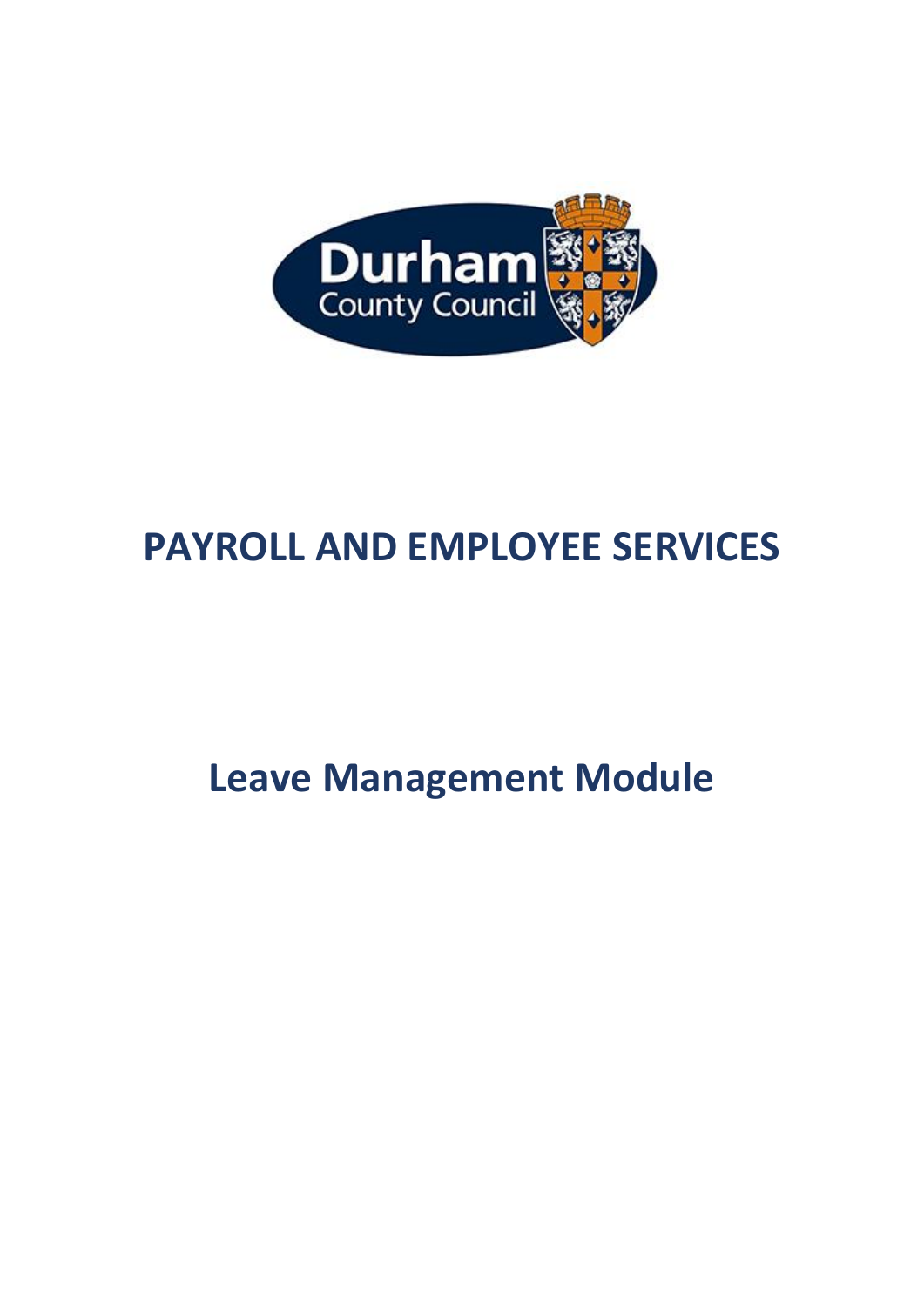

# **PAYROLL AND EMPLOYEE SERVICES**

**Leave Management Module**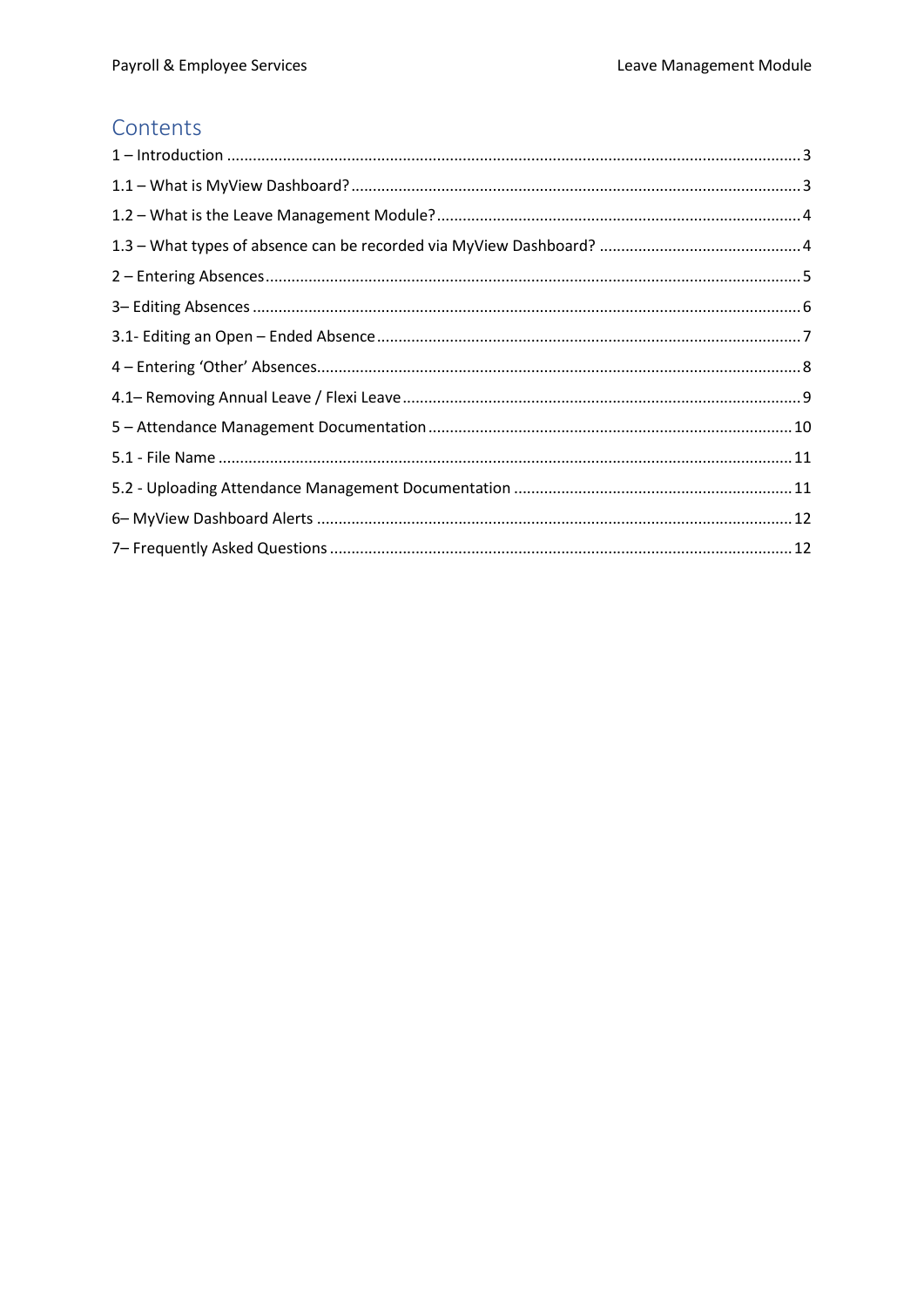# Contents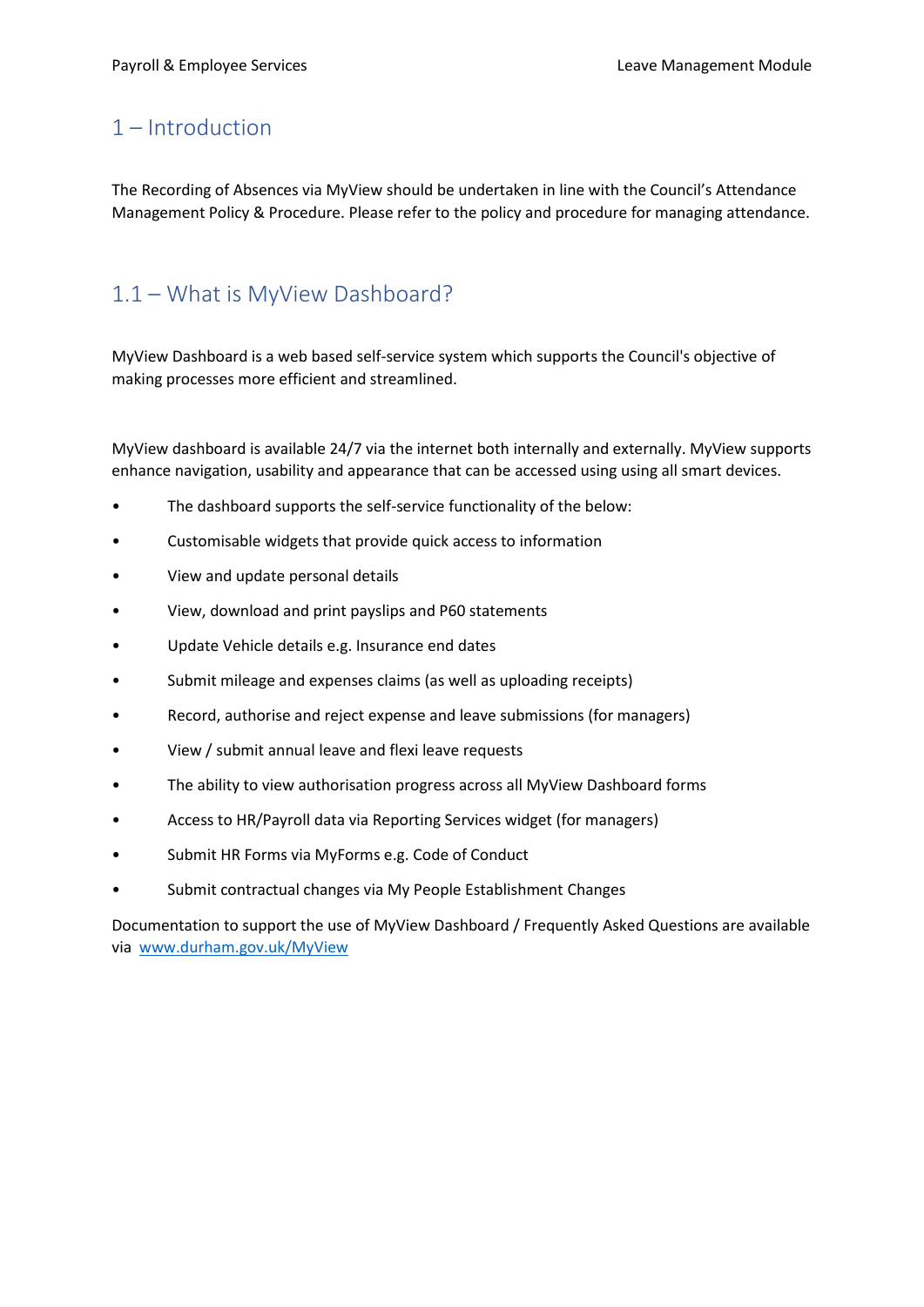### <span id="page-2-0"></span>1 – Introduction

The Recording of Absences via MyView should be undertaken in line with the Council's Attendance Management Policy & Procedure. Please refer to the policy and procedure for managing attendance.

# <span id="page-2-1"></span>1.1 – What is MyView Dashboard?

MyView Dashboard is a web based self-service system which supports the Council's objective of making processes more efficient and streamlined.

MyView dashboard is available 24/7 via the internet both internally and externally. MyView supports enhance navigation, usability and appearance that can be accessed using using all smart devices.

- The dashboard supports the self-service functionality of the below:
- Customisable widgets that provide quick access to information
- View and update personal details
- View, download and print payslips and P60 statements
- Update Vehicle details e.g. Insurance end dates
- Submit mileage and expenses claims (as well as uploading receipts)
- Record, authorise and reject expense and leave submissions (for managers)
- View / submit annual leave and flexi leave requests
- The ability to view authorisation progress across all MyView Dashboard forms
- Access to HR/Payroll data via Reporting Services widget (for managers)
- Submit HR Forms via MyForms e.g. Code of Conduct
- Submit contractual changes via My People Establishment Changes

Documentation to support the use of MyView Dashboard / Frequently Asked Questions are available via [www.durham.gov.uk/MyView](http://www.durham.gov.uk/MyView)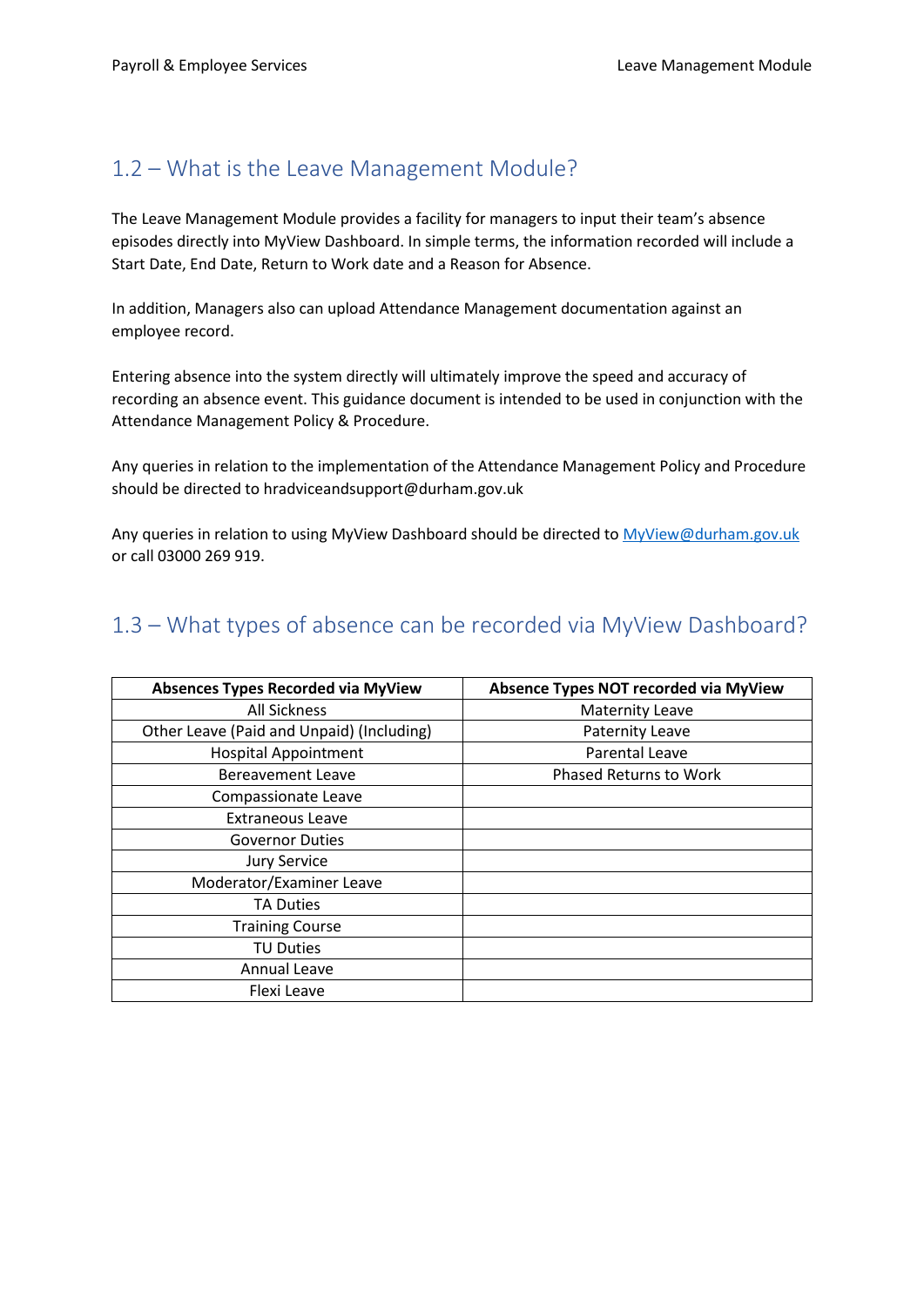### <span id="page-3-0"></span>1.2 – What is the Leave Management Module?

The Leave Management Module provides a facility for managers to input their team's absence episodes directly into MyView Dashboard. In simple terms, the information recorded will include a Start Date, End Date, Return to Work date and a Reason for Absence.

In addition, Managers also can upload Attendance Management documentation against an employee record.

Entering absence into the system directly will ultimately improve the speed and accuracy of recording an absence event. This guidance document is intended to be used in conjunction with the Attendance Management Policy & Procedure.

Any queries in relation to the implementation of the Attendance Management Policy and Procedure should be directed to hradviceandsupport@durham.gov.uk

Any queries in relation to using MyView Dashboard should be directed to MyView@durham.gov.uk or call 03000 269 919.

# <span id="page-3-1"></span>1.3 – What types of absence can be recorded via MyView Dashboard?

| Absences Types Recorded via MyView        | Absence Types NOT recorded via MyView |
|-------------------------------------------|---------------------------------------|
| All Sickness                              | <b>Maternity Leave</b>                |
| Other Leave (Paid and Unpaid) (Including) | <b>Paternity Leave</b>                |
| <b>Hospital Appointment</b>               | Parental Leave                        |
| Bereavement Leave                         | <b>Phased Returns to Work</b>         |
| Compassionate Leave                       |                                       |
| <b>Extraneous Leave</b>                   |                                       |
| <b>Governor Duties</b>                    |                                       |
| <b>Jury Service</b>                       |                                       |
| Moderator/Examiner Leave                  |                                       |
| <b>TA Duties</b>                          |                                       |
| <b>Training Course</b>                    |                                       |
| <b>TU Duties</b>                          |                                       |
| Annual Leave                              |                                       |
| Flexi Leave                               |                                       |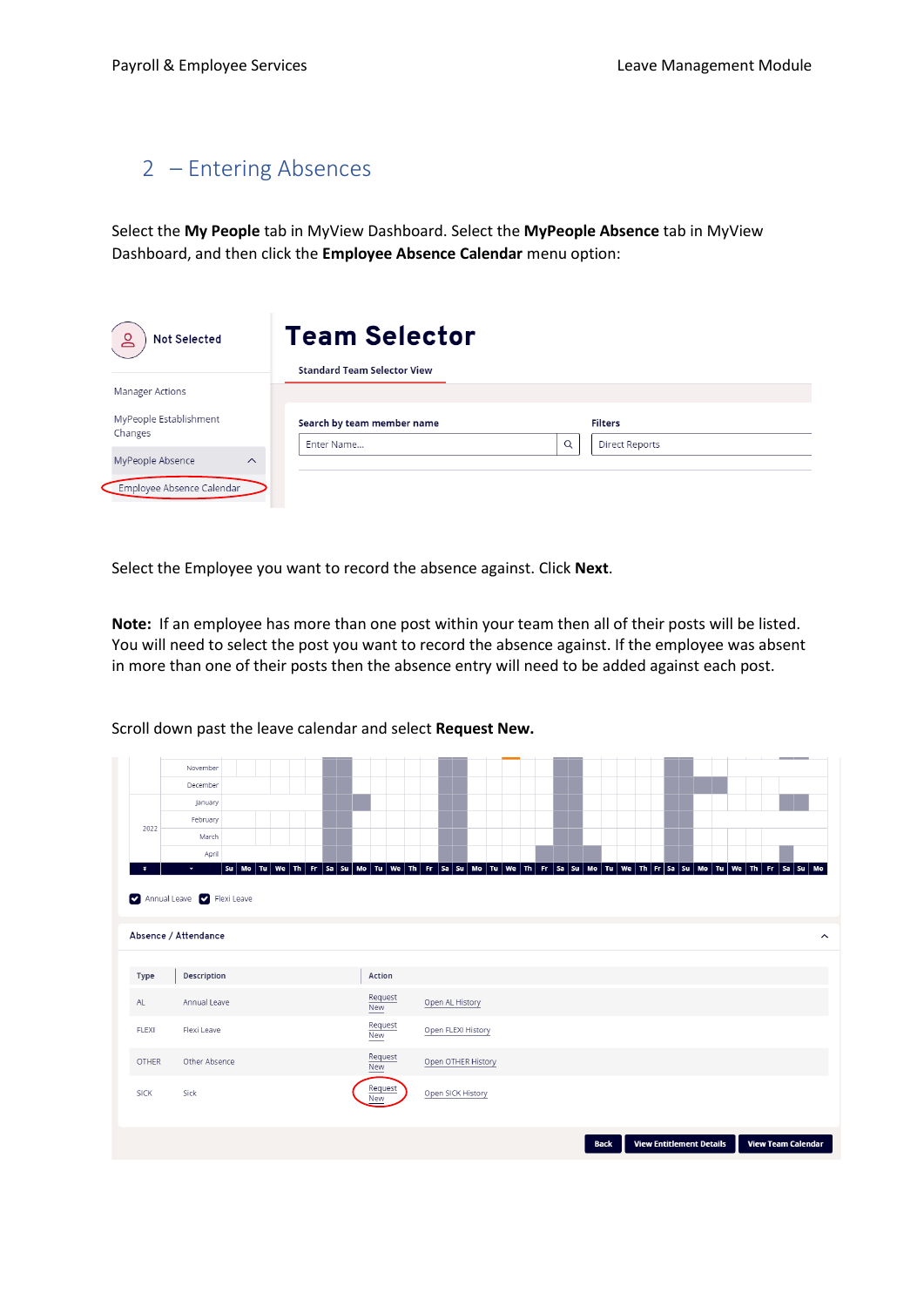### <span id="page-4-0"></span>2 – Entering Absences

Select the **My People** tab in MyView Dashboard. Select the **MyPeople Absence** tab in MyView Dashboard, and then click the **Employee Absence Calendar** menu option:

| <b>Not Selected</b>                                       | <b>Team Selector</b>               |   |                       |  |
|-----------------------------------------------------------|------------------------------------|---|-----------------------|--|
| <b>Manager Actions</b>                                    | <b>Standard Team Selector View</b> |   |                       |  |
| MyPeople Establishment<br>Changes                         | Search by team member name         |   | <b>Filters</b>        |  |
| MyPeople Absence<br>$\wedge$<br>Employee Absence Calendar | Enter Name                         | Q | <b>Direct Reports</b> |  |

Select the Employee you want to record the absence against. Click **Next**.

**Note:** If an employee has more than one post within your team then all of their posts will be listed. You will need to select the post you want to record the absence against. If the employee was absent in more than one of their posts then the absence entry will need to be added against each post.

|              | November                                 |                       |                    |                                                                                                                |                     |
|--------------|------------------------------------------|-----------------------|--------------------|----------------------------------------------------------------------------------------------------------------|---------------------|
|              | December                                 |                       |                    |                                                                                                                |                     |
|              | January                                  |                       |                    |                                                                                                                |                     |
| 2022         | February                                 |                       |                    |                                                                                                                |                     |
|              | March                                    |                       |                    |                                                                                                                |                     |
| $\mathbf{x}$ | April<br>$\bullet$                       |                       |                    | Su Mo Tu We Th Fr Sa Su Mo Tu We Th Fr Sa Su Mo Tu We Th Fr Sa Su Mo Tu We Th Fr Sa Su Mo Tu We Th Fr Sa Su Mo |                     |
|              | Annual Leave <b>Canadian Flexi Leave</b> |                       |                    |                                                                                                                |                     |
|              | Absence / Attendance                     |                       |                    |                                                                                                                | $\hat{\phantom{a}}$ |
|              |                                          |                       |                    |                                                                                                                |                     |
| Type         | Description                              | Action                |                    |                                                                                                                |                     |
| AL           | Annual Leave                             | Request<br><b>New</b> | Open AL History    |                                                                                                                |                     |
| <b>FLEXI</b> | Flexi Leave                              | Request<br>New        | Open FLEXI History |                                                                                                                |                     |
| OTHER        | Other Absence                            | Request<br>New        | Open OTHER History |                                                                                                                |                     |
| <b>SICK</b>  | Sick                                     | Request<br>New        | Open SICK History  |                                                                                                                |                     |
|              |                                          |                       |                    | <b>View Entitlement Details</b><br><b>View Team Calendar</b><br><b>Back</b>                                    |                     |

Scroll down past the leave calendar and select **Request New.**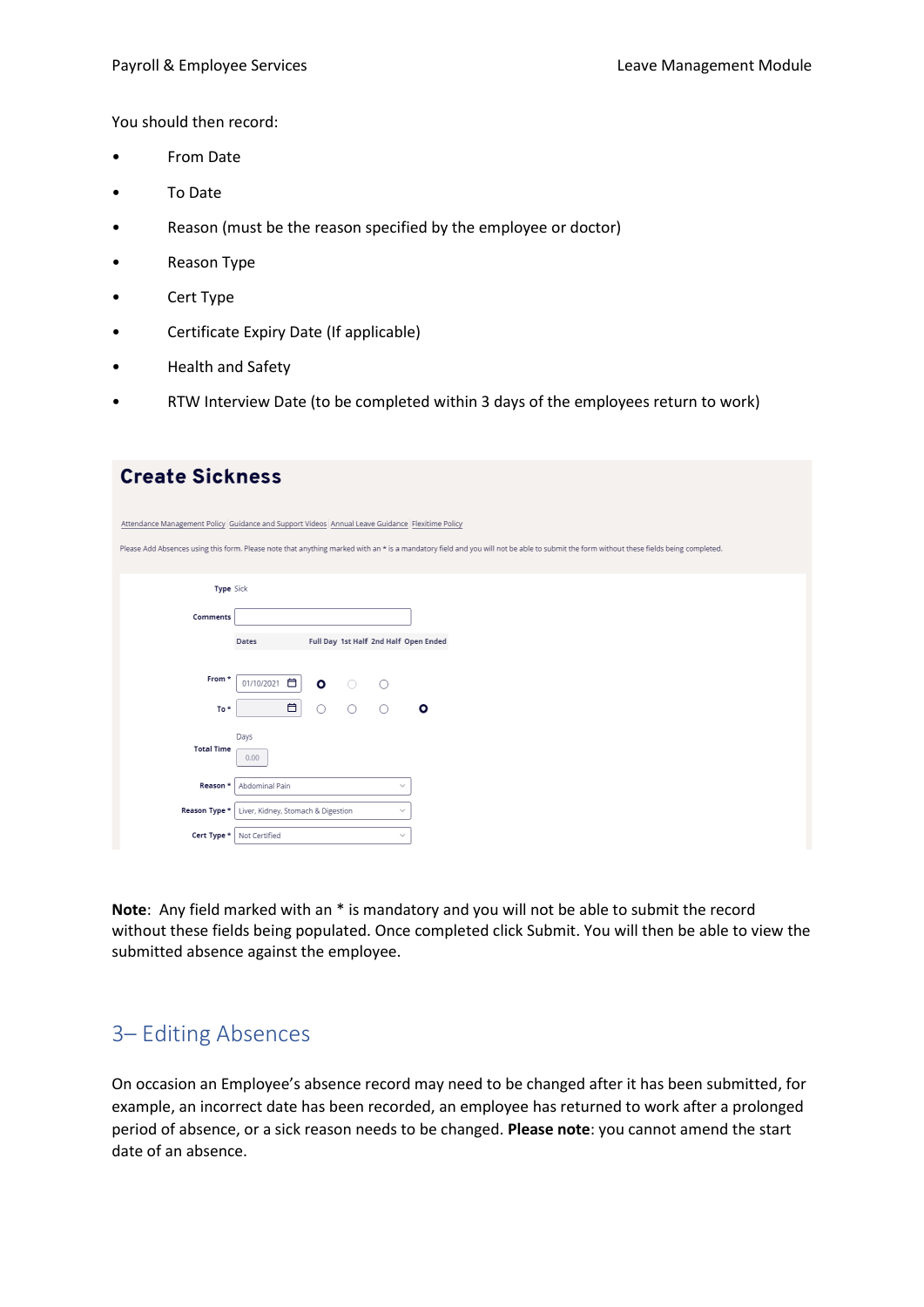You should then record:

- From Date
- To Date
- Reason (must be the reason specified by the employee or doctor)
- Reason Type
- Cert Type
- Certificate Expiry Date (If applicable)
- Health and Safety
- RTW Interview Date (to be completed within 3 days of the employees return to work)

| <b>Create Sickness</b>                                                                          |                                    |           |            |         |                                                                                                                                                                                        |  |  |  |  |  |
|-------------------------------------------------------------------------------------------------|------------------------------------|-----------|------------|---------|----------------------------------------------------------------------------------------------------------------------------------------------------------------------------------------|--|--|--|--|--|
| Attendance Management Policy Guidance and Support Videos Annual Leave Guidance Flexitime Policy |                                    |           |            |         |                                                                                                                                                                                        |  |  |  |  |  |
|                                                                                                 |                                    |           |            |         | Please Add Absences using this form. Please note that anything marked with an * is a mandatory field and you will not be able to submit the form without these fields being completed. |  |  |  |  |  |
| Type Sick                                                                                       |                                    |           |            |         |                                                                                                                                                                                        |  |  |  |  |  |
| Comments                                                                                        |                                    |           |            |         |                                                                                                                                                                                        |  |  |  |  |  |
|                                                                                                 | Dates                              |           |            |         | Full Day 1st Half 2nd Half Open Ended                                                                                                                                                  |  |  |  |  |  |
| From *                                                                                          | 自<br>01/10/2021                    | $\bullet$ | $\bigcirc$ | ∩       |                                                                                                                                                                                        |  |  |  |  |  |
| To*                                                                                             | $\blacksquare$                     | $\circ$   | $\bigcirc$ | $\circ$ | $\circ$                                                                                                                                                                                |  |  |  |  |  |
| <b>Total Time</b>                                                                               | Days<br>0.00                       |           |            |         |                                                                                                                                                                                        |  |  |  |  |  |
| Reason *                                                                                        | Abdominal Pain                     |           |            |         | $\checkmark$                                                                                                                                                                           |  |  |  |  |  |
| Reason Type *                                                                                   | Liver, Kidney, Stomach & Digestion |           |            |         | $\checkmark$                                                                                                                                                                           |  |  |  |  |  |
| Cert Type *                                                                                     | Not Certified                      |           |            |         | $\checkmark$                                                                                                                                                                           |  |  |  |  |  |

**Note**: Any field marked with an \* is mandatory and you will not be able to submit the record without these fields being populated. Once completed click Submit. You will then be able to view the submitted absence against the employee.

### <span id="page-5-0"></span>3– Editing Absences

On occasion an Employee's absence record may need to be changed after it has been submitted, for example, an incorrect date has been recorded, an employee has returned to work after a prolonged period of absence, or a sick reason needs to be changed. **Please note**: you cannot amend the start date of an absence.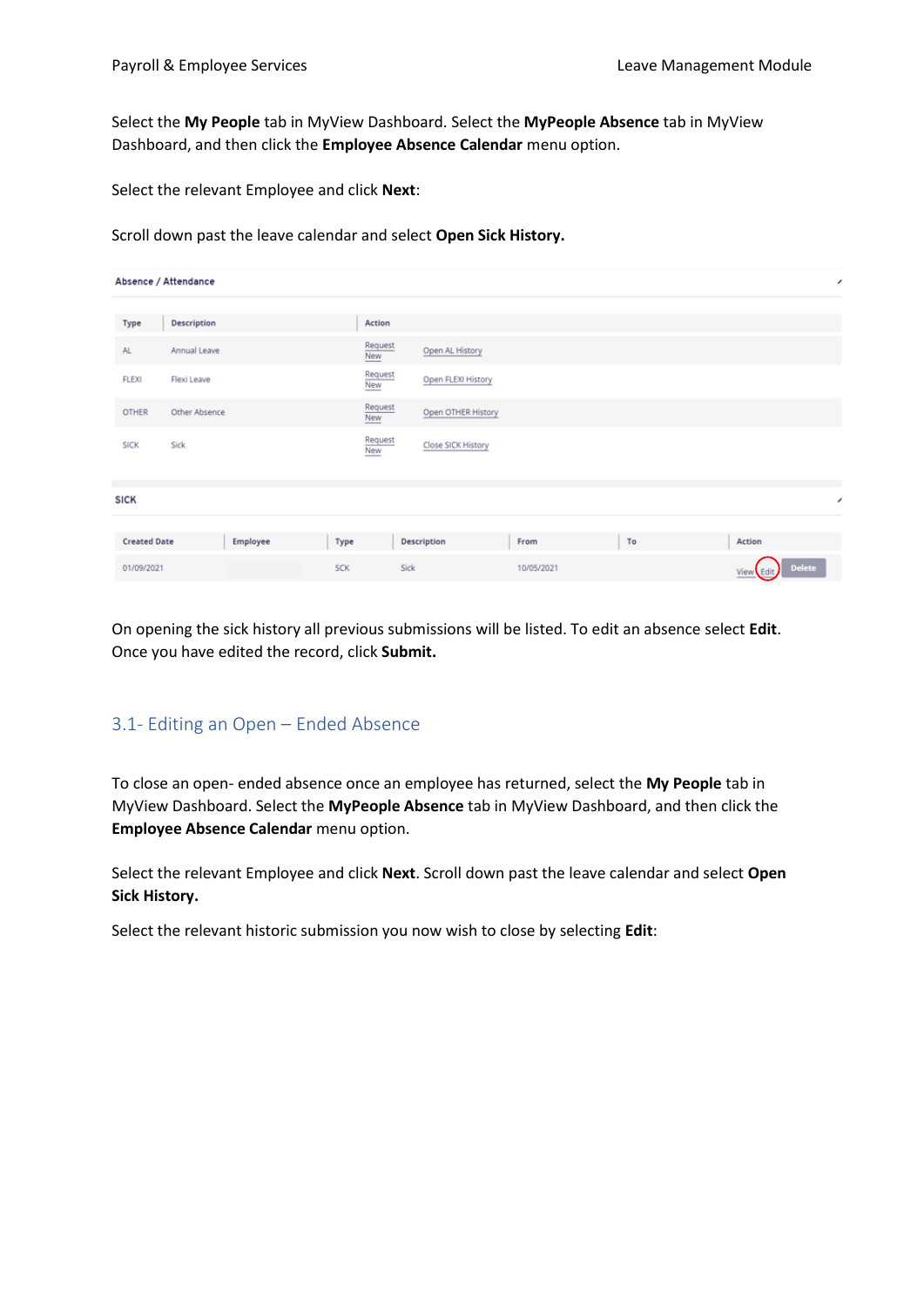Select the **My People** tab in MyView Dashboard. Select the **MyPeople Absence** tab in MyView Dashboard, and then click the **Employee Absence Calendar** menu option.

Select the relevant Employee and click **Next**:

Scroll down past the leave calendar and select **Open Sick History.**

| Absence / Attendance |               |          |            |                       |                    |            |    |                     |  |  |
|----------------------|---------------|----------|------------|-----------------------|--------------------|------------|----|---------------------|--|--|
| Type                 | Description   |          |            | Action                |                    |            |    |                     |  |  |
| AL.                  | Annual Leave  |          |            | Request<br>New        | Open AL History    |            |    |                     |  |  |
| FLEXI                | Flexi Leave   |          |            | Request<br>New        | Open FLEXI History |            |    |                     |  |  |
| <b>OTHER</b>         | Other Absence |          |            | Request<br><b>New</b> | Open OTHER History |            |    |                     |  |  |
| <b>SICK</b>          | Sick          |          |            | Request<br>New        | Close SICK History |            |    |                     |  |  |
|                      |               |          |            |                       |                    |            |    |                     |  |  |
| <b>SICK</b>          |               |          |            |                       |                    |            |    | ,                   |  |  |
| <b>Created Date</b>  |               | Employee | Type       |                       | Description        | From       | To | Action              |  |  |
| 01/09/2021           |               |          | <b>SCK</b> |                       | Sick               | 10/05/2021 |    | Delete<br>View Edit |  |  |

On opening the sick history all previous submissions will be listed. To edit an absence select **Edit**. Once you have edited the record, click **Submit.**

### <span id="page-6-0"></span>3.1- Editing an Open – Ended Absence

To close an open- ended absence once an employee has returned, select the **My People** tab in MyView Dashboard. Select the **MyPeople Absence** tab in MyView Dashboard, and then click the **Employee Absence Calendar** menu option.

Select the relevant Employee and click **Next**. Scroll down past the leave calendar and select **Open Sick History.**

Select the relevant historic submission you now wish to close by selecting **Edit**: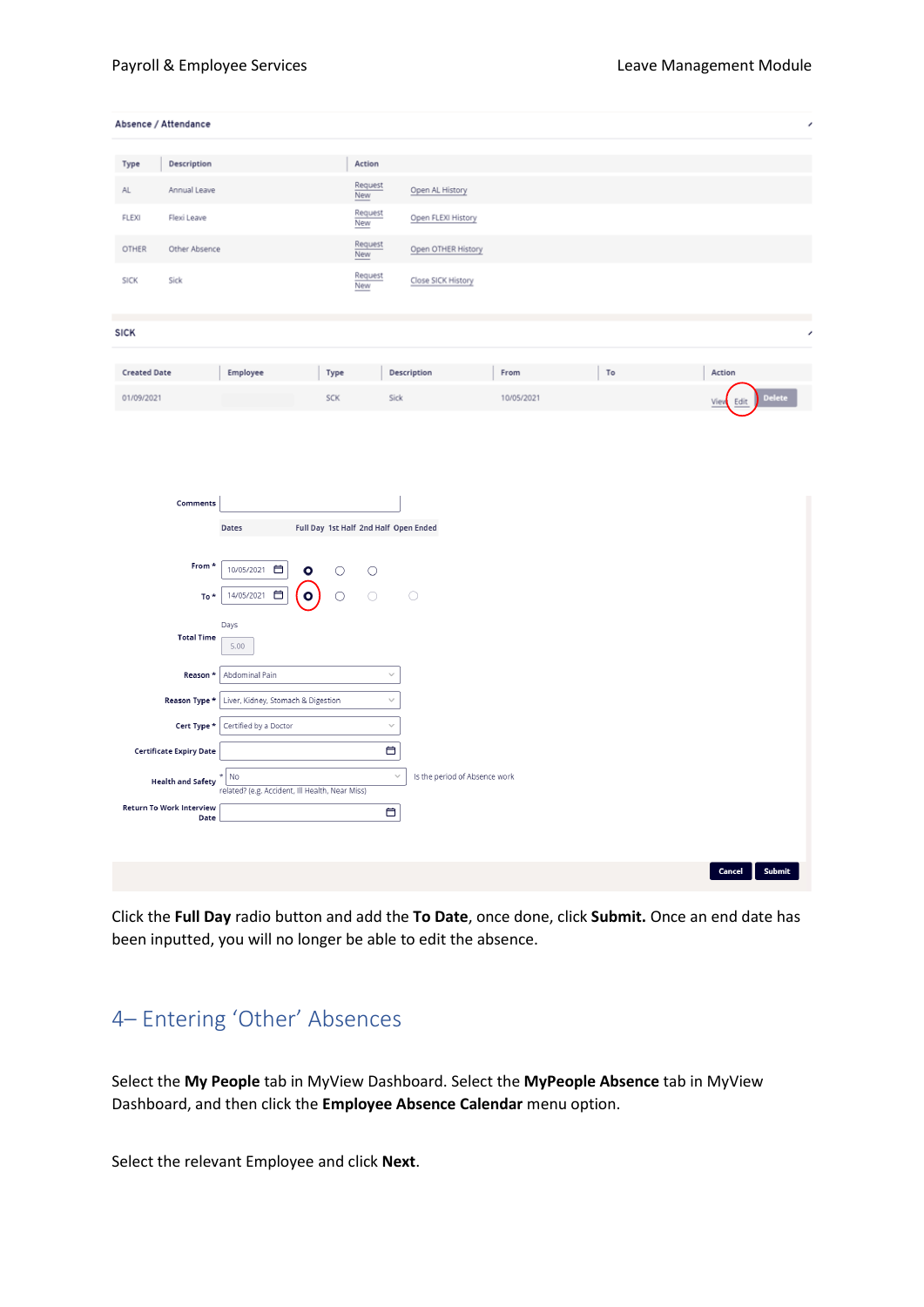| Description<br>Action<br>Type<br>Request<br>Open AL History<br>Annual Leave<br>AL.<br>New<br>Request<br>FLEXI<br>Flexi Leave<br>Open FLEXI History<br>New<br>Request<br><b>OTHER</b><br>Other Absence<br>Open OTHER History<br>New<br>Request<br><b>SICK</b><br>Sick<br>Close SICK History<br>New<br><b>SICK</b><br><b>Created Date</b><br>Employee<br>Action<br>Description<br>From<br>To<br>Type<br>Delete<br>01/09/2021<br><b>SCK</b><br>Sick<br>10/05/2021<br>Edit<br>View<br>Comments<br>Full Day 1st Half 2nd Half Open Ended<br>Dates<br>From *<br>10/05/2021 自<br>$\circ$<br>$\circ$<br>$\circ$<br>14/05/2021<br>$\circ$<br>$\circ$<br>$\bigcirc$<br>$\bigcirc$<br>To *<br>Days<br><b>Total Time</b><br>5.00<br>Abdominal Pain<br>Reason *<br>$\checkmark$<br>Reason Type $\star$<br>$\checkmark$<br>Liver, Kidney, Stomach & Digestion<br>Cert Type $^\star$<br>Certified by a Doctor<br>$\small\smile$<br>₿<br><b>Certificate Expiry Date</b><br>$\vee$<br>Is the period of Absence work<br>No<br>ź<br><b>Health and Safety</b><br>related? (e.g. Accident, Ill Health, Near Miss)<br>Return To Work Interview<br>₿<br>Date | Absence / Attendance |  |  |  | í |
|---------------------------------------------------------------------------------------------------------------------------------------------------------------------------------------------------------------------------------------------------------------------------------------------------------------------------------------------------------------------------------------------------------------------------------------------------------------------------------------------------------------------------------------------------------------------------------------------------------------------------------------------------------------------------------------------------------------------------------------------------------------------------------------------------------------------------------------------------------------------------------------------------------------------------------------------------------------------------------------------------------------------------------------------------------------------------------------------------------------------------------------|----------------------|--|--|--|---|
|                                                                                                                                                                                                                                                                                                                                                                                                                                                                                                                                                                                                                                                                                                                                                                                                                                                                                                                                                                                                                                                                                                                                       |                      |  |  |  |   |
|                                                                                                                                                                                                                                                                                                                                                                                                                                                                                                                                                                                                                                                                                                                                                                                                                                                                                                                                                                                                                                                                                                                                       |                      |  |  |  |   |
|                                                                                                                                                                                                                                                                                                                                                                                                                                                                                                                                                                                                                                                                                                                                                                                                                                                                                                                                                                                                                                                                                                                                       |                      |  |  |  |   |
|                                                                                                                                                                                                                                                                                                                                                                                                                                                                                                                                                                                                                                                                                                                                                                                                                                                                                                                                                                                                                                                                                                                                       |                      |  |  |  |   |
|                                                                                                                                                                                                                                                                                                                                                                                                                                                                                                                                                                                                                                                                                                                                                                                                                                                                                                                                                                                                                                                                                                                                       |                      |  |  |  |   |
|                                                                                                                                                                                                                                                                                                                                                                                                                                                                                                                                                                                                                                                                                                                                                                                                                                                                                                                                                                                                                                                                                                                                       |                      |  |  |  |   |
|                                                                                                                                                                                                                                                                                                                                                                                                                                                                                                                                                                                                                                                                                                                                                                                                                                                                                                                                                                                                                                                                                                                                       |                      |  |  |  | , |
|                                                                                                                                                                                                                                                                                                                                                                                                                                                                                                                                                                                                                                                                                                                                                                                                                                                                                                                                                                                                                                                                                                                                       |                      |  |  |  |   |
|                                                                                                                                                                                                                                                                                                                                                                                                                                                                                                                                                                                                                                                                                                                                                                                                                                                                                                                                                                                                                                                                                                                                       |                      |  |  |  |   |
|                                                                                                                                                                                                                                                                                                                                                                                                                                                                                                                                                                                                                                                                                                                                                                                                                                                                                                                                                                                                                                                                                                                                       |                      |  |  |  |   |
|                                                                                                                                                                                                                                                                                                                                                                                                                                                                                                                                                                                                                                                                                                                                                                                                                                                                                                                                                                                                                                                                                                                                       |                      |  |  |  |   |
|                                                                                                                                                                                                                                                                                                                                                                                                                                                                                                                                                                                                                                                                                                                                                                                                                                                                                                                                                                                                                                                                                                                                       |                      |  |  |  |   |
|                                                                                                                                                                                                                                                                                                                                                                                                                                                                                                                                                                                                                                                                                                                                                                                                                                                                                                                                                                                                                                                                                                                                       |                      |  |  |  |   |
|                                                                                                                                                                                                                                                                                                                                                                                                                                                                                                                                                                                                                                                                                                                                                                                                                                                                                                                                                                                                                                                                                                                                       |                      |  |  |  |   |
|                                                                                                                                                                                                                                                                                                                                                                                                                                                                                                                                                                                                                                                                                                                                                                                                                                                                                                                                                                                                                                                                                                                                       |                      |  |  |  |   |
|                                                                                                                                                                                                                                                                                                                                                                                                                                                                                                                                                                                                                                                                                                                                                                                                                                                                                                                                                                                                                                                                                                                                       |                      |  |  |  |   |
|                                                                                                                                                                                                                                                                                                                                                                                                                                                                                                                                                                                                                                                                                                                                                                                                                                                                                                                                                                                                                                                                                                                                       |                      |  |  |  |   |
|                                                                                                                                                                                                                                                                                                                                                                                                                                                                                                                                                                                                                                                                                                                                                                                                                                                                                                                                                                                                                                                                                                                                       |                      |  |  |  |   |
|                                                                                                                                                                                                                                                                                                                                                                                                                                                                                                                                                                                                                                                                                                                                                                                                                                                                                                                                                                                                                                                                                                                                       |                      |  |  |  |   |
|                                                                                                                                                                                                                                                                                                                                                                                                                                                                                                                                                                                                                                                                                                                                                                                                                                                                                                                                                                                                                                                                                                                                       |                      |  |  |  |   |
|                                                                                                                                                                                                                                                                                                                                                                                                                                                                                                                                                                                                                                                                                                                                                                                                                                                                                                                                                                                                                                                                                                                                       |                      |  |  |  |   |
|                                                                                                                                                                                                                                                                                                                                                                                                                                                                                                                                                                                                                                                                                                                                                                                                                                                                                                                                                                                                                                                                                                                                       |                      |  |  |  |   |
|                                                                                                                                                                                                                                                                                                                                                                                                                                                                                                                                                                                                                                                                                                                                                                                                                                                                                                                                                                                                                                                                                                                                       |                      |  |  |  |   |
|                                                                                                                                                                                                                                                                                                                                                                                                                                                                                                                                                                                                                                                                                                                                                                                                                                                                                                                                                                                                                                                                                                                                       |                      |  |  |  |   |
|                                                                                                                                                                                                                                                                                                                                                                                                                                                                                                                                                                                                                                                                                                                                                                                                                                                                                                                                                                                                                                                                                                                                       |                      |  |  |  |   |
|                                                                                                                                                                                                                                                                                                                                                                                                                                                                                                                                                                                                                                                                                                                                                                                                                                                                                                                                                                                                                                                                                                                                       |                      |  |  |  |   |
|                                                                                                                                                                                                                                                                                                                                                                                                                                                                                                                                                                                                                                                                                                                                                                                                                                                                                                                                                                                                                                                                                                                                       |                      |  |  |  |   |
| Submit<br>Cancel                                                                                                                                                                                                                                                                                                                                                                                                                                                                                                                                                                                                                                                                                                                                                                                                                                                                                                                                                                                                                                                                                                                      |                      |  |  |  |   |

Click the **Full Day** radio button and add the **To Date**, once done, click **Submit.** Once an end date has been inputted, you will no longer be able to edit the absence.

# <span id="page-7-0"></span>4– Entering 'Other' Absences

Select the **My People** tab in MyView Dashboard. Select the **MyPeople Absence** tab in MyView Dashboard, and then click the **Employee Absence Calendar** menu option.

Select the relevant Employee and click **Next**.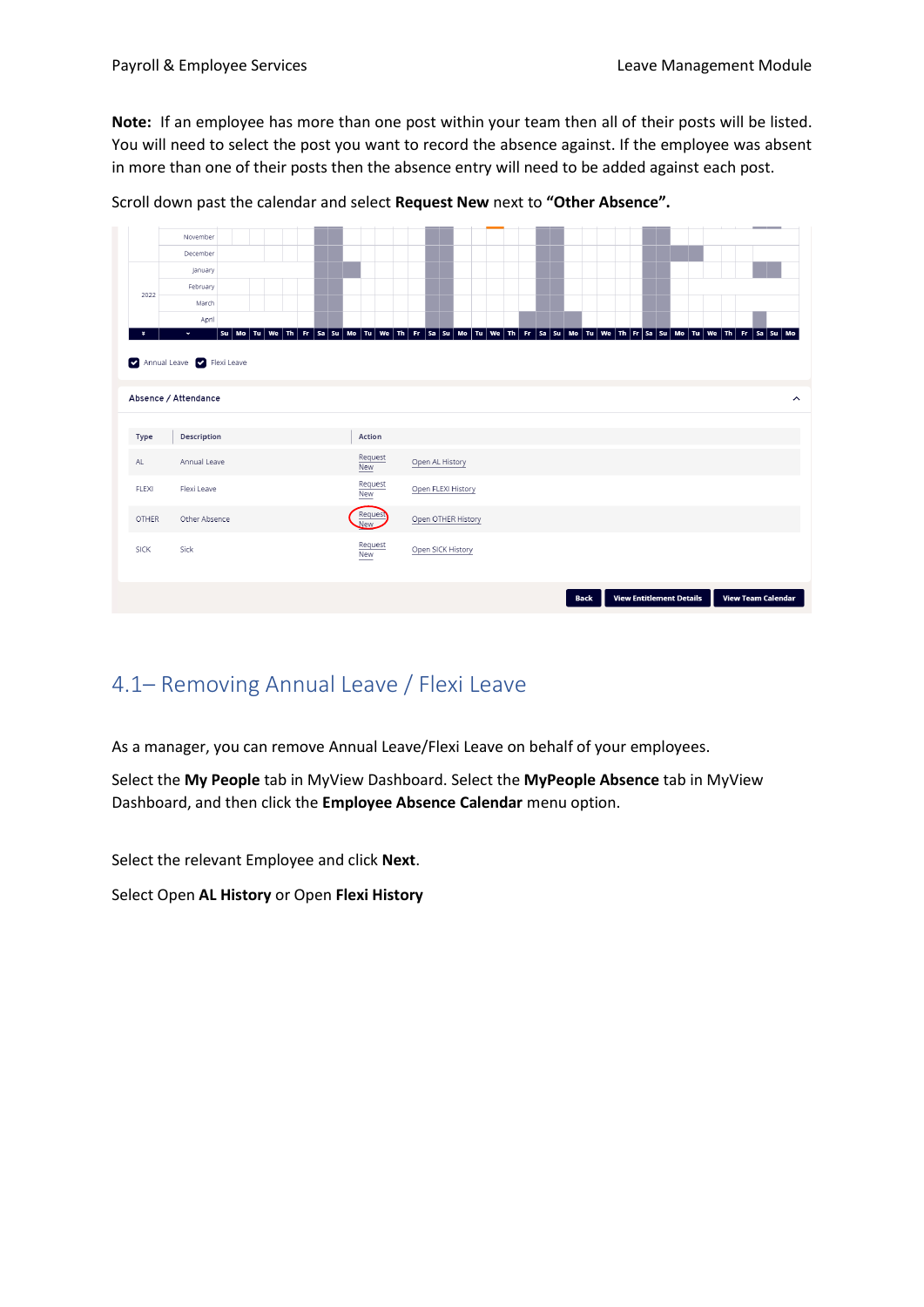**Note:** If an employee has more than one post within your team then all of their posts will be listed. You will need to select the post you want to record the absence against. If the employee was absent in more than one of their posts then the absence entry will need to be added against each post.

|              | November                   |                       |                                                                                                                                      |  |  |
|--------------|----------------------------|-----------------------|--------------------------------------------------------------------------------------------------------------------------------------|--|--|
|              | December                   |                       |                                                                                                                                      |  |  |
|              | January                    |                       |                                                                                                                                      |  |  |
| 2022         | February                   |                       |                                                                                                                                      |  |  |
|              | March                      |                       |                                                                                                                                      |  |  |
|              | April<br>$\bullet$         |                       | su Mo Tu We Th Fr Sa Su Mo Tu We Th Fr Sa Su Mo Tu We Th Fr Sa Su Mo Tu We The Fr Sa Su Mo Tu We Th Fr Sa Su Mo Tu We Th Fr Sa Su Mo |  |  |
|              | Annual Leave V Flexi Leave |                       |                                                                                                                                      |  |  |
|              | Absence / Attendance       |                       |                                                                                                                                      |  |  |
|              |                            |                       |                                                                                                                                      |  |  |
|              |                            |                       |                                                                                                                                      |  |  |
| Type         | Description                | Action                |                                                                                                                                      |  |  |
| AL           | Annual Leave               | Request<br><b>New</b> | Open AL History                                                                                                                      |  |  |
| <b>FLEXI</b> | Flexi Leave                | Request<br><b>New</b> | Open FLEXI History                                                                                                                   |  |  |
| <b>OTHER</b> | Other Absence              | Request<br>New        | Open OTHER History                                                                                                                   |  |  |
| <b>SICK</b>  | Sick                       | Request<br>New        | Open SICK History                                                                                                                    |  |  |

Scroll down past the calendar and select **Request New** next to **"Other Absence".**

# <span id="page-8-0"></span>4.1– Removing Annual Leave / Flexi Leave

As a manager, you can remove Annual Leave/Flexi Leave on behalf of your employees.

Select the **My People** tab in MyView Dashboard. Select the **MyPeople Absence** tab in MyView Dashboard, and then click the **Employee Absence Calendar** menu option.

Select the relevant Employee and click **Next**.

Select Open **AL History** or Open **Flexi History**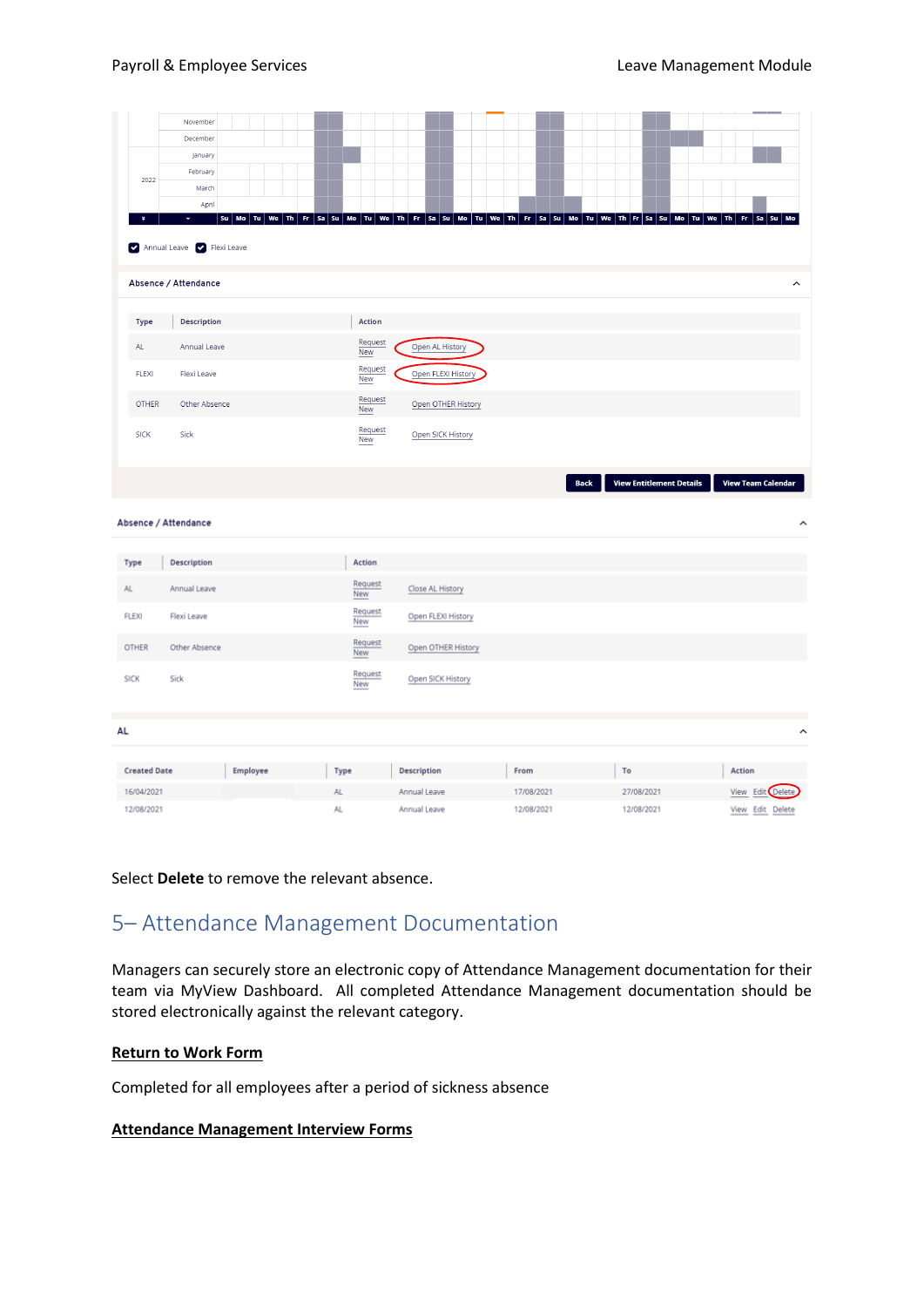|              |                     | November                     |                                                                                                                                                                                                                      |  |  |      |                       |  |              |                  |                    |  |            |  |             |  |            |                                 |  |        |                           |                         |   |
|--------------|---------------------|------------------------------|----------------------------------------------------------------------------------------------------------------------------------------------------------------------------------------------------------------------|--|--|------|-----------------------|--|--------------|------------------|--------------------|--|------------|--|-------------|--|------------|---------------------------------|--|--------|---------------------------|-------------------------|---|
|              |                     | December                     |                                                                                                                                                                                                                      |  |  |      |                       |  |              |                  |                    |  |            |  |             |  |            |                                 |  |        |                           |                         |   |
|              |                     | January                      |                                                                                                                                                                                                                      |  |  |      |                       |  |              |                  |                    |  |            |  |             |  |            |                                 |  |        |                           |                         |   |
|              |                     | February                     |                                                                                                                                                                                                                      |  |  |      |                       |  |              |                  |                    |  |            |  |             |  |            |                                 |  |        |                           |                         |   |
|              | 2022                | March                        |                                                                                                                                                                                                                      |  |  |      |                       |  |              |                  |                    |  |            |  |             |  |            |                                 |  |        |                           |                         |   |
|              |                     | April                        |                                                                                                                                                                                                                      |  |  |      |                       |  |              |                  |                    |  |            |  |             |  |            |                                 |  |        |                           |                         |   |
|              | ×                   | ×<br>Annual Leave Rexi Leave | su   Mo   Tu   We   Th   Fr   Sa   Su   Mo   Tu   We   Th   Fr   Sa   Su   Mo   Tu   We   Th   Fr   Sa   Su   Mo   Tu   We   Th   Tr   Sa   Su   Mo   Tu   We   Th   Fr   Sa   Su   Mo   Tu   We   Th   Fr   Sa   Su |  |  |      |                       |  |              |                  |                    |  |            |  |             |  |            |                                 |  |        |                           | Mo                      |   |
|              |                     | Absence / Attendance         |                                                                                                                                                                                                                      |  |  |      |                       |  |              |                  |                    |  |            |  |             |  |            |                                 |  |        |                           | $\widehat{\phantom{a}}$ |   |
|              | <b>Type</b>         | Description                  |                                                                                                                                                                                                                      |  |  |      | Action                |  |              |                  |                    |  |            |  |             |  |            |                                 |  |        |                           |                         |   |
| AL           |                     | Annual Leave                 |                                                                                                                                                                                                                      |  |  |      | Request<br><b>New</b> |  |              |                  | Open AL History    |  |            |  |             |  |            |                                 |  |        |                           |                         |   |
|              | FLEXI               | Flexi Leave                  |                                                                                                                                                                                                                      |  |  |      | Request<br>New        |  |              |                  | Open FLEXI History |  |            |  |             |  |            |                                 |  |        |                           |                         |   |
|              | <b>OTHER</b>        | Other Absence                |                                                                                                                                                                                                                      |  |  |      | Request<br>New        |  |              |                  | Open OTHER History |  |            |  |             |  |            |                                 |  |        |                           |                         |   |
|              | <b>SICK</b>         | Sick                         |                                                                                                                                                                                                                      |  |  |      | Request<br>New        |  |              |                  | Open SICK History  |  |            |  |             |  |            |                                 |  |        |                           |                         |   |
|              |                     |                              |                                                                                                                                                                                                                      |  |  |      |                       |  |              |                  |                    |  |            |  |             |  |            |                                 |  |        | <b>View Team Calendar</b> |                         |   |
|              |                     |                              |                                                                                                                                                                                                                      |  |  |      |                       |  |              |                  |                    |  |            |  | <b>Back</b> |  |            | <b>View Entitlement Details</b> |  |        |                           |                         |   |
|              |                     | Absence / Attendance         |                                                                                                                                                                                                                      |  |  |      |                       |  |              |                  |                    |  |            |  |             |  |            |                                 |  |        |                           |                         | ↗ |
|              |                     |                              |                                                                                                                                                                                                                      |  |  |      |                       |  |              |                  |                    |  |            |  |             |  |            |                                 |  |        |                           |                         |   |
| Type         |                     | Description                  |                                                                                                                                                                                                                      |  |  |      | Action                |  |              |                  |                    |  |            |  |             |  |            |                                 |  |        |                           |                         |   |
| AL.          |                     | Annual Leave                 |                                                                                                                                                                                                                      |  |  |      | Request<br>New        |  |              | Close AL History |                    |  |            |  |             |  |            |                                 |  |        |                           |                         |   |
| <b>FLEXI</b> |                     | Flexi Leave                  |                                                                                                                                                                                                                      |  |  |      | Request<br>New        |  |              |                  | Open FLEXI History |  |            |  |             |  |            |                                 |  |        |                           |                         |   |
| OTHER        |                     | Other Absence                |                                                                                                                                                                                                                      |  |  |      | Request<br>New        |  |              |                  | Open OTHER History |  |            |  |             |  |            |                                 |  |        |                           |                         |   |
| <b>SICK</b>  |                     | Sick                         |                                                                                                                                                                                                                      |  |  |      | Request<br>New        |  |              |                  | Open SICK History  |  |            |  |             |  |            |                                 |  |        |                           |                         |   |
| AL           |                     |                              |                                                                                                                                                                                                                      |  |  |      |                       |  |              |                  |                    |  |            |  |             |  |            |                                 |  |        |                           |                         | ᄉ |
|              |                     |                              |                                                                                                                                                                                                                      |  |  |      |                       |  |              |                  |                    |  |            |  |             |  |            |                                 |  |        |                           |                         |   |
|              | <b>Created Date</b> |                              | Employee                                                                                                                                                                                                             |  |  | Type |                       |  | Description  |                  |                    |  | From       |  |             |  | To         |                                 |  | Action |                           |                         |   |
|              | 16/04/2021          |                              |                                                                                                                                                                                                                      |  |  | AL.  |                       |  | Annual Leave |                  |                    |  | 17/08/2021 |  |             |  | 27/08/2021 |                                 |  |        | View Edit Delete          |                         |   |

Select **Delete** to remove the relevant absence.

### <span id="page-9-0"></span>5– Attendance Management Documentation

Managers can securely store an electronic copy of Attendance Management documentation for their team via MyView Dashboard. All completed Attendance Management documentation should be stored electronically against the relevant category.

#### **Return to Work Form**

Completed for all employees after a period of sickness absence

#### **Attendance Management Interview Forms**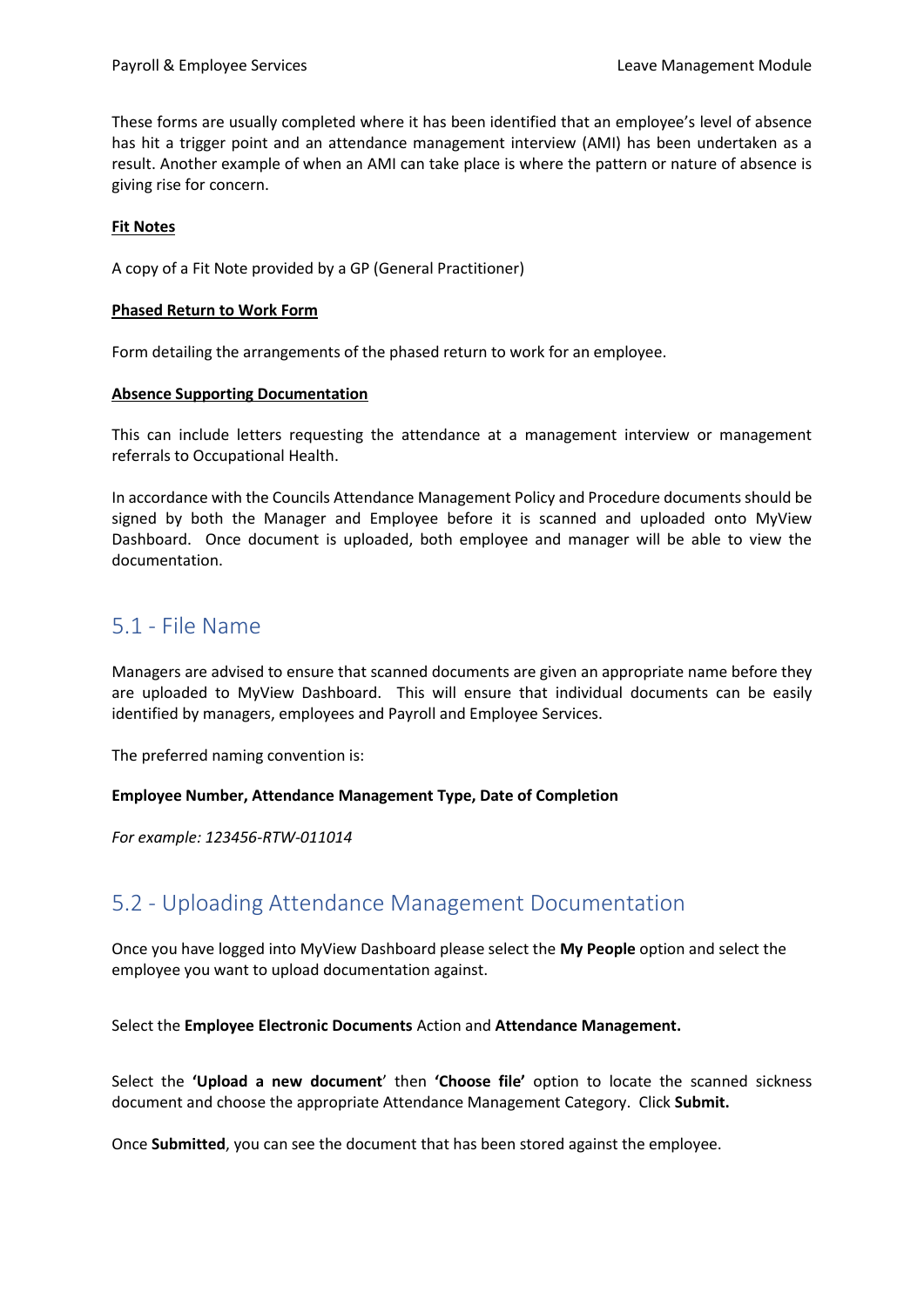These forms are usually completed where it has been identified that an employee's level of absence has hit a trigger point and an attendance management interview (AMI) has been undertaken as a result. Another example of when an AMI can take place is where the pattern or nature of absence is giving rise for concern.

#### **Fit Notes**

A copy of a Fit Note provided by a GP (General Practitioner)

#### **Phased Return to Work Form**

Form detailing the arrangements of the phased return to work for an employee.

#### **Absence Supporting Documentation**

This can include letters requesting the attendance at a management interview or management referrals to Occupational Health.

In accordance with the Councils Attendance Management Policy and Procedure documents should be signed by both the Manager and Employee before it is scanned and uploaded onto MyView Dashboard. Once document is uploaded, both employee and manager will be able to view the documentation.

### <span id="page-10-0"></span>5.1 - File Name

Managers are advised to ensure that scanned documents are given an appropriate name before they are uploaded to MyView Dashboard. This will ensure that individual documents can be easily identified by managers, employees and Payroll and Employee Services.

The preferred naming convention is:

#### **Employee Number, Attendance Management Type, Date of Completion**

*For example: 123456-RTW-011014*

### <span id="page-10-1"></span>5.2 - Uploading Attendance Management Documentation

Once you have logged into MyView Dashboard please select the **My People** option and select the employee you want to upload documentation against.

Select the **Employee Electronic Documents** Action and **Attendance Management.**

Select the **'Upload a new document**' then **'Choose file'** option to locate the scanned sickness document and choose the appropriate Attendance Management Category. Click **Submit.**

Once **Submitted**, you can see the document that has been stored against the employee.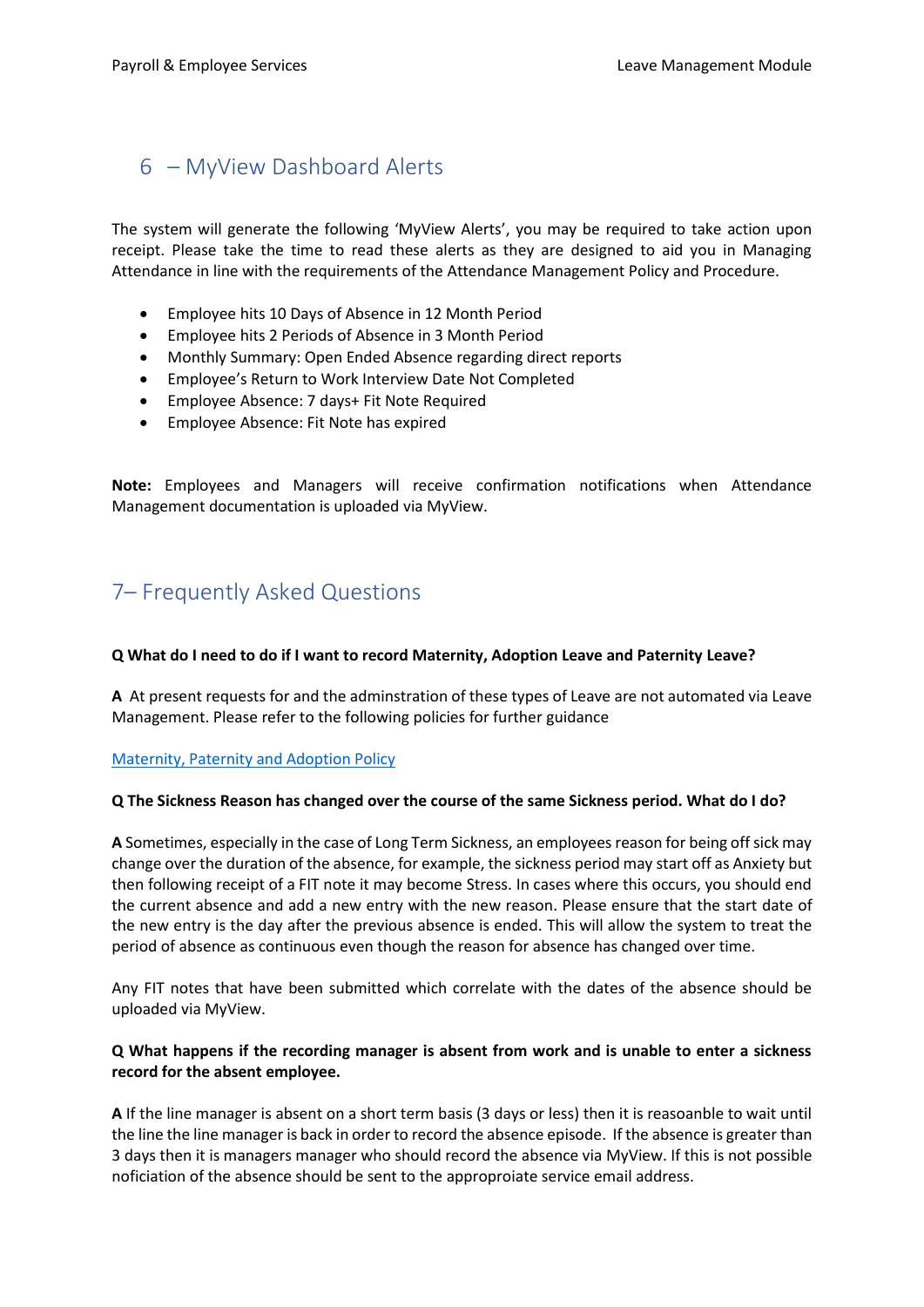### <span id="page-11-0"></span>6 – MyView Dashboard Alerts

The system will generate the following 'MyView Alerts', you may be required to take action upon receipt. Please take the time to read these alerts as they are designed to aid you in Managing Attendance in line with the requirements of the Attendance Management Policy and Procedure.

- Employee hits 10 Days of Absence in 12 Month Period
- Employee hits 2 Periods of Absence in 3 Month Period
- Monthly Summary: Open Ended Absence regarding direct reports
- Employee's Return to Work Interview Date Not Completed
- Employee Absence: 7 days+ Fit Note Required
- Employee Absence: Fit Note has expired

**Note:** Employees and Managers will receive confirmation notifications when Attendance Management documentation is uploaded via MyView.

# <span id="page-11-1"></span>7– Frequently Asked Questions

### **Q What do I need to do if I want to record Maternity, Adoption Leave and Paternity Leave?**

**A** At present requests for and the adminstration of these types of Leave are not automated via Leave Management. Please refer to the following policies for further guidance

[Maternity, Paternity and Adoption Policy](http://intranet/Pages/PoliciesandProceduresDetails.aspx?ItemId=1757)

### **Q The Sickness Reason has changed over the course of the same Sickness period. What do I do?**

**A** Sometimes, especially in the case of Long Term Sickness, an employees reason for being off sick may change over the duration of the absence, for example, the sickness period may start off as Anxiety but then following receipt of a FIT note it may become Stress. In cases where this occurs, you should end the current absence and add a new entry with the new reason. Please ensure that the start date of the new entry is the day after the previous absence is ended. This will allow the system to treat the period of absence as continuous even though the reason for absence has changed over time.

Any FIT notes that have been submitted which correlate with the dates of the absence should be uploaded via MyView.

#### **Q What happens if the recording manager is absent from work and is unable to enter a sickness record for the absent employee.**

**A** If the line manager is absent on a short term basis (3 days or less) then it is reasoanble to wait until the line the line manager is back in order to record the absence episode. If the absence is greater than 3 days then it is managers manager who should record the absence via MyView. If this is not possible noficiation of the absence should be sent to the approproiate service email address.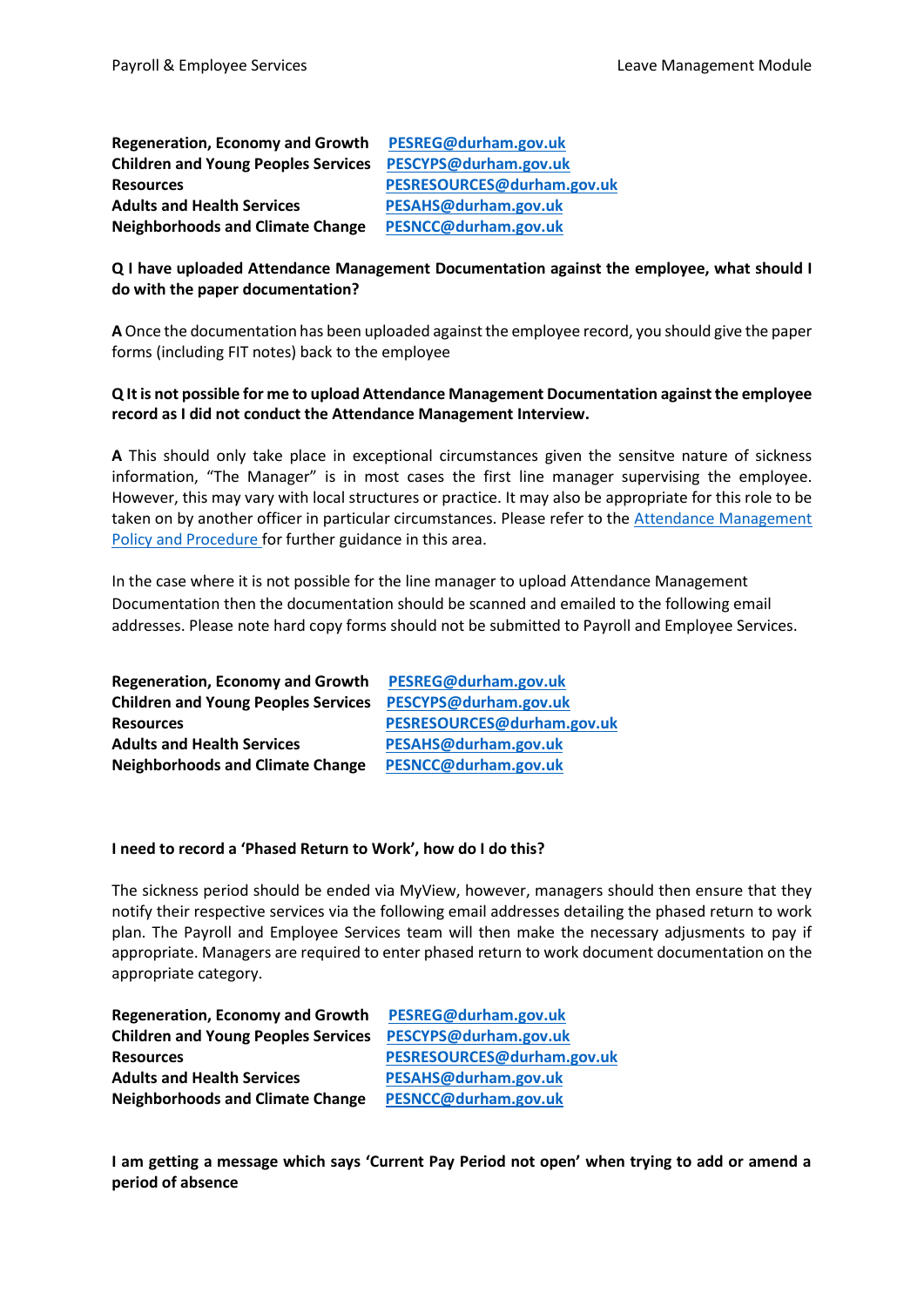**Regeneration, Economy and Growth [PESREG@durham.gov.uk](mailto:PESREG@durham.gov.uk) Children and Young Peoples Services [PESCYPS@durham.gov.uk](mailto:PESCYPS@durham.gov.uk) Resources [PESRESOURCES@durham.gov.uk](mailto:PESRESOURCES@durham.gov.uk) Adults and Health Services [PESAHS@durham.gov.uk](mailto:PESAHS@durham.gov.uk) Neighborhoods and Climate Change [PESNCC@durham.gov.uk](mailto:PESNCC@durham.gov.uk)**

### **Q I have uploaded Attendance Management Documentation against the employee, what should I do with the paper documentation?**

**A** Once the documentation has been uploaded against the employee record, you should give the paper forms (including FIT notes) back to the employee

### **Q It is not possible for me to upload Attendance Management Documentation against the employee record as I did not conduct the Attendance Management Interview.**

**A** This should only take place in exceptional circumstances given the sensitve nature of sickness information, "The Manager" is in most cases the first line manager supervising the employee. However, this may vary with local structures or practice. It may also be appropriate for this role to be taken on by another officer in particular circumstances. Please refer to the [Attendance Management](http://intranet/Lists/PolicyExportLotusNotes/Attachments/3495/Attendance%20Management%20Policy%20and%20Procedure%20v1.1%20April%202016.pdf)  [Policy and Procedure](http://intranet/Lists/PolicyExportLotusNotes/Attachments/3495/Attendance%20Management%20Policy%20and%20Procedure%20v1.1%20April%202016.pdf) for further guidance in this area.

In the case where it is not possible for the line manager to upload Attendance Management Documentation then the documentation should be scanned and emailed to the following email addresses. Please note hard copy forms should not be submitted to Payroll and Employee Services.

| <b>Regeneration, Economy and Growth</b>    | PESREG@durham.gov.uk       |
|--------------------------------------------|----------------------------|
| <b>Children and Young Peoples Services</b> | PESCYPS@durham.gov.uk      |
| <b>Resources</b>                           | PESRESOURCES@durham.gov.uk |
| <b>Adults and Health Services</b>          | PESAHS@durham.gov.uk       |
| <b>Neighborhoods and Climate Change</b>    | PESNCC@durham.gov.uk       |

#### **I need to record a 'Phased Return to Work', how do I do this?**

The sickness period should be ended via MyView, however, managers should then ensure that they notify their respective services via the following email addresses detailing the phased return to work plan. The Payroll and Employee Services team will then make the necessary adjusments to pay if appropriate. Managers are required to enter phased return to work document documentation on the appropriate category.

| <b>Regeneration, Economy and Growth</b>    | PESREG@durham.gov.uk       |
|--------------------------------------------|----------------------------|
| <b>Children and Young Peoples Services</b> | PESCYPS@durham.gov.uk      |
| <b>Resources</b>                           | PESRESOURCES@durham.gov.uk |
| <b>Adults and Health Services</b>          | PESAHS@durham.gov.uk       |
| <b>Neighborhoods and Climate Change</b>    | PESNCC@durham.gov.uk       |

**I am getting a message which says 'Current Pay Period not open' when trying to add or amend a period of absence**